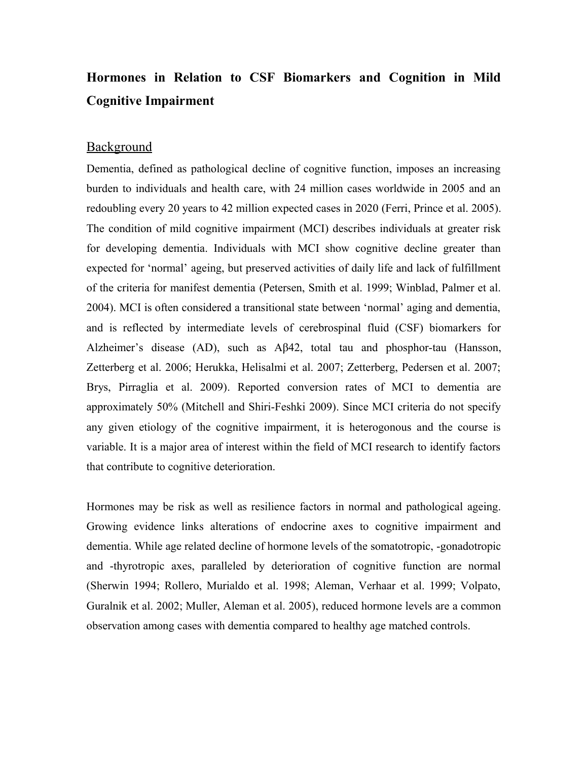## **Hormones in Relation to CSF Biomarkers and Cognition in Mild Cognitive Impairment**

## **Background**

Dementia, defined as pathological decline of cognitive function, imposes an increasing burden to individuals and health care, with 24 million cases worldwide in 2005 and an redoubling every 20 years to 42 million expected cases in 2020 (Ferri, Prince et al. 2005). The condition of mild cognitive impairment (MCI) describes individuals at greater risk for developing dementia. Individuals with MCI show cognitive decline greater than expected for 'normal' ageing, but preserved activities of daily life and lack of fulfillment of the criteria for manifest dementia (Petersen, Smith et al. 1999; Winblad, Palmer et al. 2004). MCI is often considered a transitional state between 'normal' aging and dementia, and is reflected by intermediate levels of cerebrospinal fluid (CSF) biomarkers for Alzheimer's disease (AD), such as Aβ42, total tau and phosphor-tau (Hansson, Zetterberg et al. 2006; Herukka, Helisalmi et al. 2007; Zetterberg, Pedersen et al. 2007; Brys, Pirraglia et al. 2009). Reported conversion rates of MCI to dementia are approximately 50% (Mitchell and Shiri-Feshki 2009). Since MCI criteria do not specify any given etiology of the cognitive impairment, it is heterogonous and the course is variable. It is a major area of interest within the field of MCI research to identify factors that contribute to cognitive deterioration.

Hormones may be risk as well as resilience factors in normal and pathological ageing. Growing evidence links alterations of endocrine axes to cognitive impairment and dementia. While age related decline of hormone levels of the somatotropic, -gonadotropic and -thyrotropic axes, paralleled by deterioration of cognitive function are normal (Sherwin 1994; Rollero, Murialdo et al. 1998; Aleman, Verhaar et al. 1999; Volpato, Guralnik et al. 2002; Muller, Aleman et al. 2005), reduced hormone levels are a common observation among cases with dementia compared to healthy age matched controls.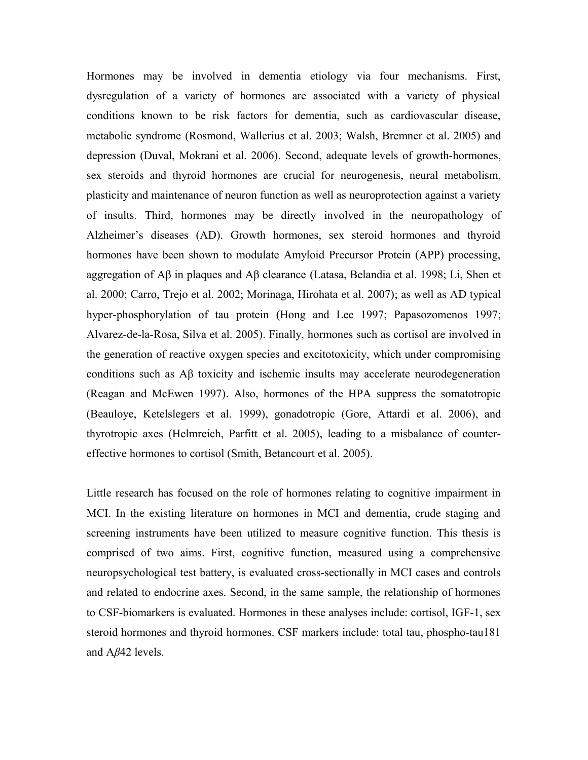Hormones may be involved in dementia etiology via four mechanisms. First, dysregulation of a variety of hormones are associated with a variety of physical conditions known to be risk factors for dementia, such as cardiovascular disease, metabolic syndrome (Rosmond, Wallerius et al. 2003; Walsh, Bremner et al. 2005) and depression (Duval, Mokrani et al. 2006). Second, adequate levels of growth-hormones, sex steroids and thyroid hormones are crucial for neurogenesis, neural metabolism, plasticity and maintenance of neuron function as well as neuroprotection against a variety of insults. Third, hormones may be directly involved in the neuropathology of Alzheimer's diseases (AD). Growth hormones, sex steroid hormones and thyroid hormones have been shown to modulate Amyloid Precursor Protein (APP) processing, aggregation of Aβ in plaques and Aβ clearance (Latasa, Belandia et al. 1998; Li, Shen et al. 2000; Carro, Trejo et al. 2002; Morinaga, Hirohata et al. 2007); as well as AD typical hyper-phosphorylation of tau protein (Hong and Lee 1997; Papasozomenos 1997; Alvarez-de-la-Rosa, Silva et al. 2005). Finally, hormones such as cortisol are involved in the generation of reactive oxygen species and excitotoxicity, which under compromising conditions such as Aβ toxicity and ischemic insults may accelerate neurodegeneration (Reagan and McEwen 1997). Also, hormones of the HPA suppress the somatotropic (Beauloye, Ketelslegers et al. 1999), gonadotropic (Gore, Attardi et al. 2006), and thyrotropic axes (Helmreich, Parfitt et al. 2005), leading to a misbalance of countereffective hormones to cortisol (Smith, Betancourt et al. 2005).

Little research has focused on the role of hormones relating to cognitive impairment in MCI. In the existing literature on hormones in MCI and dementia, crude staging and screening instruments have been utilized to measure cognitive function. This thesis is comprised of two aims. First, cognitive function, measured using a comprehensive neuropsychological test battery, is evaluated cross-sectionally in MCI cases and controls and related to endocrine axes. Second, in the same sample, the relationship of hormones to CSF-biomarkers is evaluated. Hormones in these analyses include: cortisol, IGF-1, sex steroid hormones and thyroid hormones. CSF markers include: total tau, phospho-tau181 and A*β*42 levels.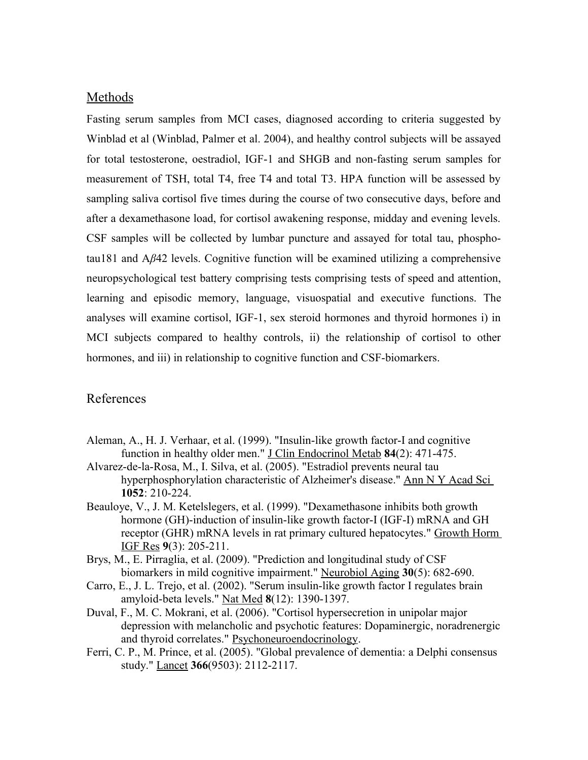## Methods

Fasting serum samples from MCI cases, diagnosed according to criteria suggested by Winblad et al (Winblad, Palmer et al. 2004), and healthy control subjects will be assayed for total testosterone, oestradiol, IGF-1 and SHGB and non-fasting serum samples for measurement of TSH, total T4, free T4 and total T3. HPA function will be assessed by sampling saliva cortisol five times during the course of two consecutive days, before and after a dexamethasone load, for cortisol awakening response, midday and evening levels. CSF samples will be collected by lumbar puncture and assayed for total tau, phosphotau181 and A*β*42 levels. Cognitive function will be examined utilizing a comprehensive neuropsychological test battery comprising tests comprising tests of speed and attention, learning and episodic memory, language, visuospatial and executive functions. The analyses will examine cortisol, IGF-1, sex steroid hormones and thyroid hormones i) in MCI subjects compared to healthy controls, ii) the relationship of cortisol to other hormones, and iii) in relationship to cognitive function and CSF-biomarkers.

## References

- Aleman, A., H. J. Verhaar, et al. (1999). "Insulin-like growth factor-I and cognitive function in healthy older men." J Clin Endocrinol Metab **84**(2): 471-475.
- Alvarez-de-la-Rosa, M., I. Silva, et al. (2005). "Estradiol prevents neural tau hyperphosphorylation characteristic of Alzheimer's disease." Ann N Y Acad Sci **1052**: 210-224.
- Beauloye, V., J. M. Ketelslegers, et al. (1999). "Dexamethasone inhibits both growth hormone (GH)-induction of insulin-like growth factor-I (IGF-I) mRNA and GH receptor (GHR) mRNA levels in rat primary cultured hepatocytes." Growth Horm IGF Res **9**(3): 205-211.
- Brys, M., E. Pirraglia, et al. (2009). "Prediction and longitudinal study of CSF biomarkers in mild cognitive impairment." Neurobiol Aging **30**(5): 682-690.
- Carro, E., J. L. Trejo, et al. (2002). "Serum insulin-like growth factor I regulates brain amyloid-beta levels." Nat Med **8**(12): 1390-1397.
- Duval, F., M. C. Mokrani, et al. (2006). "Cortisol hypersecretion in unipolar major depression with melancholic and psychotic features: Dopaminergic, noradrenergic and thyroid correlates." Psychoneuroendocrinology.
- Ferri, C. P., M. Prince, et al. (2005). "Global prevalence of dementia: a Delphi consensus study." Lancet **366**(9503): 2112-2117.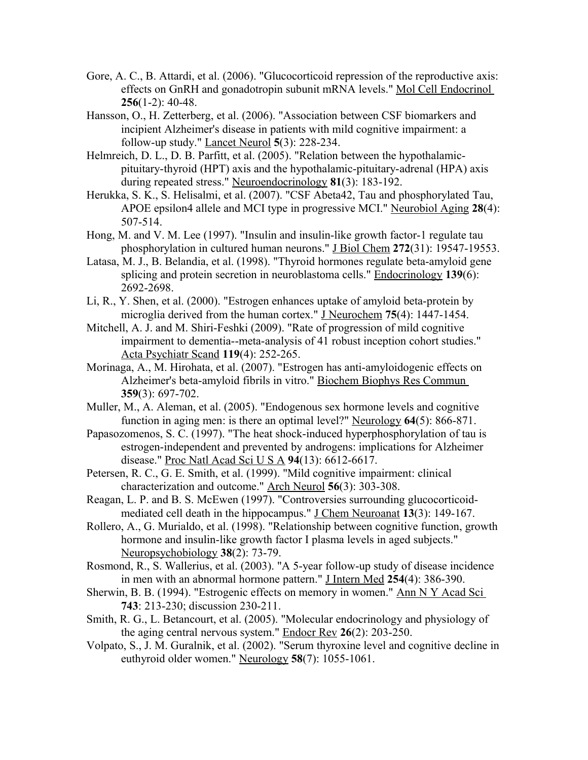- Gore, A. C., B. Attardi, et al. (2006). "Glucocorticoid repression of the reproductive axis: effects on GnRH and gonadotropin subunit mRNA levels." Mol Cell Endocrinol **256**(1-2): 40-48.
- Hansson, O., H. Zetterberg, et al. (2006). "Association between CSF biomarkers and incipient Alzheimer's disease in patients with mild cognitive impairment: a follow-up study." Lancet Neurol **5**(3): 228-234.
- Helmreich, D. L., D. B. Parfitt, et al. (2005). "Relation between the hypothalamicpituitary-thyroid (HPT) axis and the hypothalamic-pituitary-adrenal (HPA) axis during repeated stress." Neuroendocrinology **81**(3): 183-192.
- Herukka, S. K., S. Helisalmi, et al. (2007). "CSF Abeta42, Tau and phosphorylated Tau, APOE epsilon4 allele and MCI type in progressive MCI." Neurobiol Aging **28**(4): 507-514.
- Hong, M. and V. M. Lee (1997). "Insulin and insulin-like growth factor-1 regulate tau phosphorylation in cultured human neurons." J Biol Chem **272**(31): 19547-19553.
- Latasa, M. J., B. Belandia, et al. (1998). "Thyroid hormones regulate beta-amyloid gene splicing and protein secretion in neuroblastoma cells." Endocrinology **139**(6): 2692-2698.
- Li, R., Y. Shen, et al. (2000). "Estrogen enhances uptake of amyloid beta-protein by microglia derived from the human cortex." J Neurochem **75**(4): 1447-1454.
- Mitchell, A. J. and M. Shiri-Feshki (2009). "Rate of progression of mild cognitive impairment to dementia--meta-analysis of 41 robust inception cohort studies." Acta Psychiatr Scand **119**(4): 252-265.
- Morinaga, A., M. Hirohata, et al. (2007). "Estrogen has anti-amyloidogenic effects on Alzheimer's beta-amyloid fibrils in vitro." Biochem Biophys Res Commun **359**(3): 697-702.
- Muller, M., A. Aleman, et al. (2005). "Endogenous sex hormone levels and cognitive function in aging men: is there an optimal level?" Neurology **64**(5): 866-871.
- Papasozomenos, S. C. (1997). "The heat shock-induced hyperphosphorylation of tau is estrogen-independent and prevented by androgens: implications for Alzheimer disease." Proc Natl Acad Sci U S A **94**(13): 6612-6617.
- Petersen, R. C., G. E. Smith, et al. (1999). "Mild cognitive impairment: clinical characterization and outcome." Arch Neurol **56**(3): 303-308.
- Reagan, L. P. and B. S. McEwen (1997). "Controversies surrounding glucocorticoidmediated cell death in the hippocampus." J Chem Neuroanat **13**(3): 149-167.
- Rollero, A., G. Murialdo, et al. (1998). "Relationship between cognitive function, growth hormone and insulin-like growth factor I plasma levels in aged subjects." Neuropsychobiology **38**(2): 73-79.
- Rosmond, R., S. Wallerius, et al. (2003). "A 5-year follow-up study of disease incidence in men with an abnormal hormone pattern." J Intern Med **254**(4): 386-390.
- Sherwin, B. B. (1994). "Estrogenic effects on memory in women." Ann N Y Acad Sci **743**: 213-230; discussion 230-211.
- Smith, R. G., L. Betancourt, et al. (2005). "Molecular endocrinology and physiology of the aging central nervous system." Endocr Rev **26**(2): 203-250.
- Volpato, S., J. M. Guralnik, et al. (2002). "Serum thyroxine level and cognitive decline in euthyroid older women." Neurology **58**(7): 1055-1061.